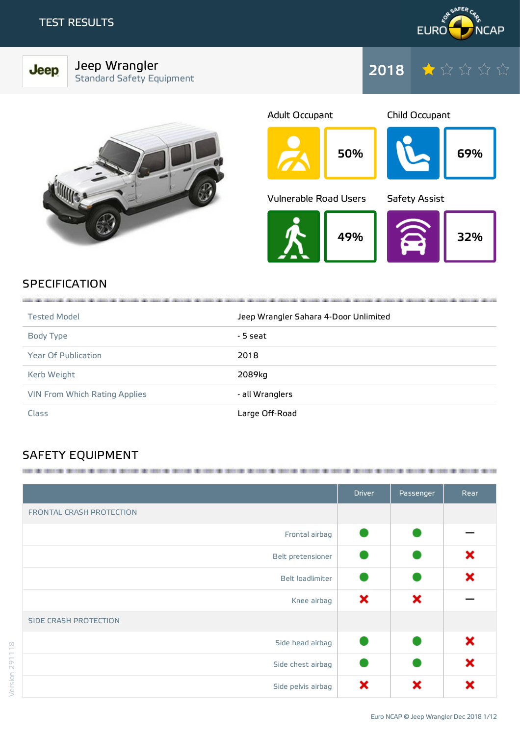Jeep



Jeep Wrangler Standard Safety Equipment







# **SPECIFICATION**

| <b>Tested Model</b>           | Jeep Wrangler Sahara 4-Door Unlimited |
|-------------------------------|---------------------------------------|
| Body Type                     | - 5 seat                              |
| <b>Year Of Publication</b>    | 2018                                  |
| Kerb Weight                   | 2089kg                                |
| VIN From Which Rating Applies | - all Wranglers                       |
| <b>Class</b>                  | Large Off-Road                        |

# SAFETY EQUIPMENT

|                              | <b>Driver</b> | Passenger | Rear |
|------------------------------|---------------|-----------|------|
| FRONTAL CRASH PROTECTION     |               |           |      |
| Frontal airbag               |               |           |      |
| Belt pretensioner            |               |           | ×    |
| Belt loadlimiter             |               |           | ×    |
| Knee airbag                  | ×             | ×         |      |
| <b>SIDE CRASH PROTECTION</b> |               |           |      |
| Side head airbag             |               |           | ×    |
| Side chest airbag            |               |           | ×    |
| Side pelvis airbag           | ×             | ×         | x    |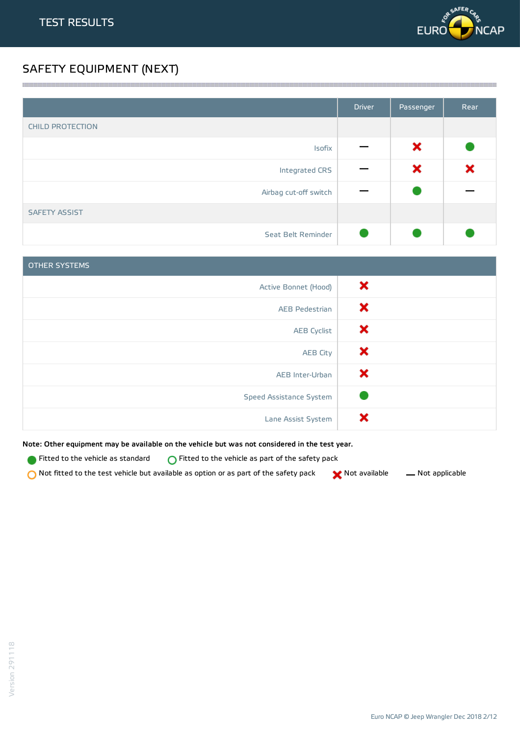

# SAFETY EQUIPMENT (NEXT)

|                         | <b>Driver</b> | Passenger | Rear |
|-------------------------|---------------|-----------|------|
| <b>CHILD PROTECTION</b> |               |           |      |
| Isofix                  |               | ×         |      |
| Integrated CRS          |               | ×         | ×    |
| Airbag cut-off switch   |               |           |      |
| <b>SAFETY ASSIST</b>    |               |           |      |
| Seat Belt Reminder      |               |           |      |

<u> 1989 - Andrea Stadt Stadt Stadt Stadt Stadt Stadt Stadt Stadt Stadt Stadt Stadt Stadt Stadt Stadt Stadt Stadt Stadt Stadt Stadt Stadt Stadt Stadt Stadt Stadt Stadt Stadt Stadt Stadt Stadt Stadt Stadt Stadt Stadt Stadt St</u>

| <b>OTHER SYSTEMS</b>    |   |
|-------------------------|---|
| Active Bonnet (Hood)    | × |
| <b>AEB Pedestrian</b>   | × |
| <b>AEB Cyclist</b>      | × |
| <b>AEB City</b>         | × |
| AEB Inter-Urban         | × |
| Speed Assistance System |   |
| Lane Assist System      | × |

Note: Other equipment may be available on the vehicle but was not considered in the test year.

**Fitted to the vehicle as standard**  $\bigcirc$  Fitted to the vehicle as part of the safety pack

Not fitted to the test vehicle but available as option or as part of the safety pack  $\bigtimes$  Not available  $\qquad$  Not applicable

Version 291118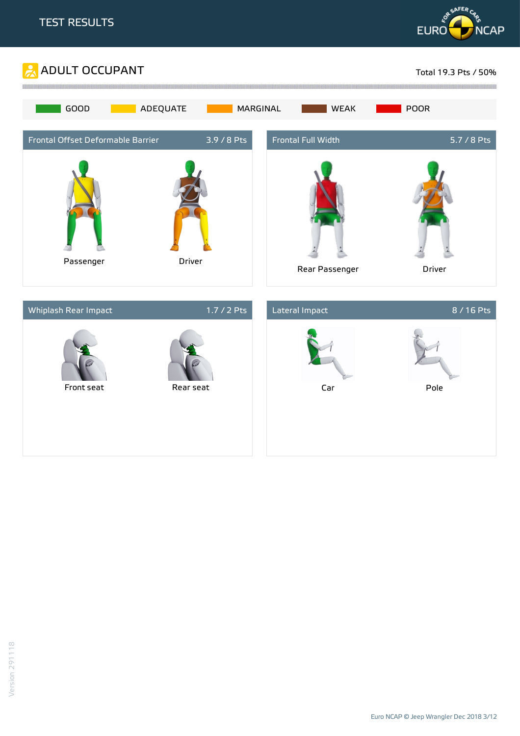





Euro NCAP © Jeep Wrangler Dec 2018 3/12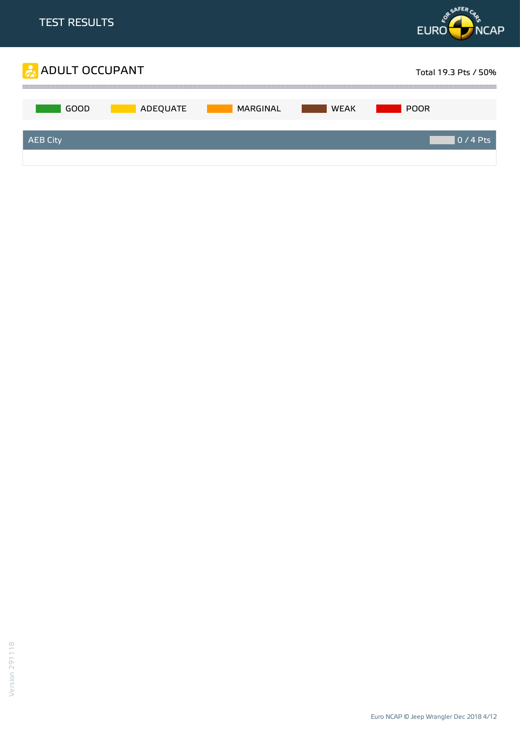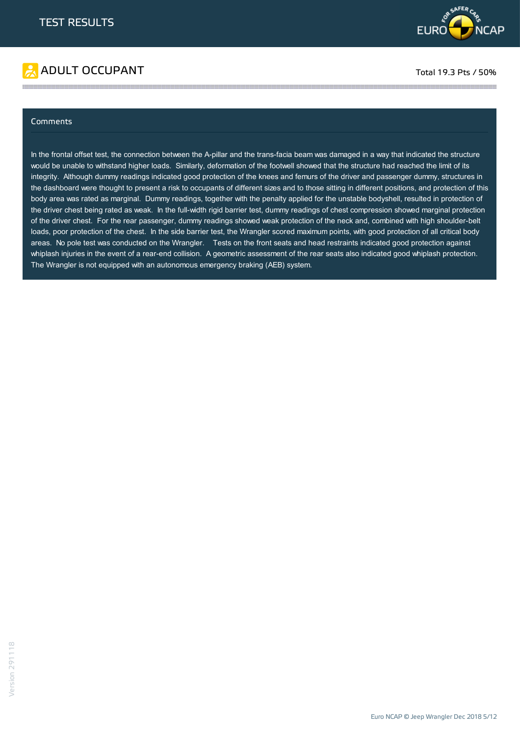



#### Comments

In the frontal offset test, the connection between the A-pillar and the trans-facia beam was damaged in a way that indicated the structure would be unable to withstand higher loads. Similarly, deformation of the footwell showed that the structure had reached the limit of its integrity. Although dummy readings indicated good protection of the knees and femurs of the driver and passenger dummy, structures in the dashboard were thought to present a risk to occupants of different sizes and to those sitting in different positions, and protection of this body area was rated as marginal. Dummy readings, together with the penalty applied for the unstable bodyshell, resulted in protection of the driver chest being rated as weak. In the full-width rigid barrier test, dummy readings of chest compression showed marginal protection of the driver chest. For the rear passenger, dummy readings showed weak protection of the neck and, combined with high shoulder-belt loads, poor protection of the chest. In the side barrier test, the Wrangler scored maximum points, with good protection of all critical body areas. No pole test was conducted on the Wrangler. Tests on the front seats and head restraints indicated good protection against whiplash injuries in the event of a rear-end collision. A geometric assessment of the rear seats also indicated good whiplash protection. The Wrangler is not equipped with an autonomous emergency braking (AEB) system.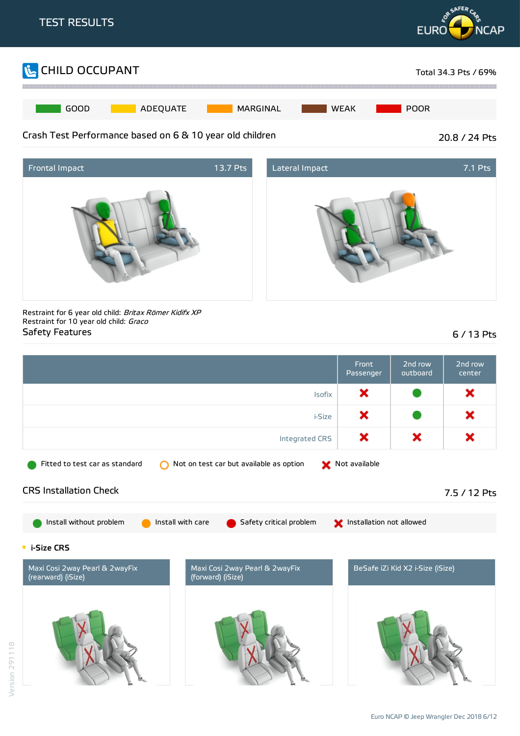





Restraint for 6 year old child: Britax Römer Kidifx XP Restraint for 10 year old child: Graco Safety Features 6 / 13 Pts

|                                                      |                   |                                         |               | Front<br>Passenger       | 2nd row<br>outboard              | 2nd row<br>center |
|------------------------------------------------------|-------------------|-----------------------------------------|---------------|--------------------------|----------------------------------|-------------------|
| <b>Isofix</b>                                        |                   |                                         |               | ×                        |                                  | ×                 |
|                                                      |                   |                                         | <i>i-Size</i> | ×                        |                                  | ×                 |
|                                                      |                   | <b>Integrated CRS</b>                   |               | ×                        | ×                                | ×                 |
| Fitted to test car as standard                       |                   | Not on test car but available as option |               | Not available            |                                  |                   |
| <b>CRS Installation Check</b>                        |                   |                                         |               |                          |                                  | 7.5 / 12 Pts      |
| Install without problem                              | Install with care | Safety critical problem                 |               | Installation not allowed |                                  |                   |
| <b>E</b> i-Size CRS                                  |                   |                                         |               |                          |                                  |                   |
| Maxi Cosi 2way Pearl & 2wayFix<br>(rearward) (iSize) | (forward) (iSize) | Maxi Cosi 2way Pearl & 2wayFix          |               |                          | BeSafe iZi Kid X2 i-Size (iSize) |                   |
|                                                      |                   |                                         |               |                          |                                  |                   |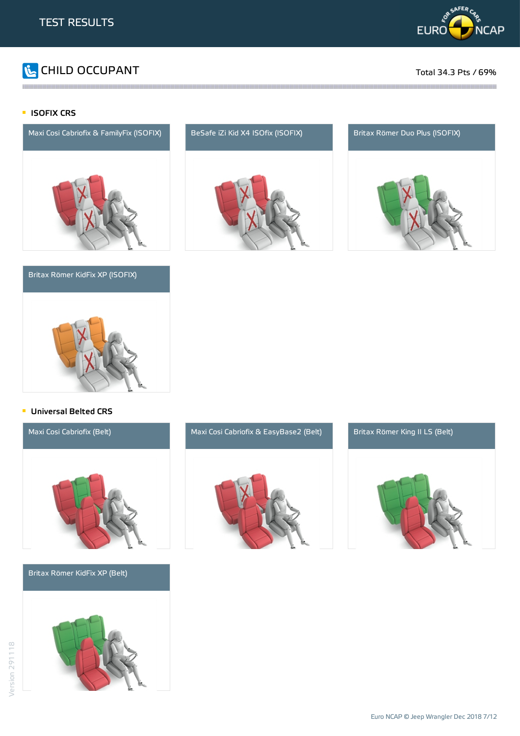

# CHILD OCCUPANT Total 34.3 Pts / 69%

#### **ISOFIX CRS**



#### Britax Römer KidFix XP (ISOFIX)







#### **Universal Belted CRS**

Britax Römer KidFix XP (Belt)







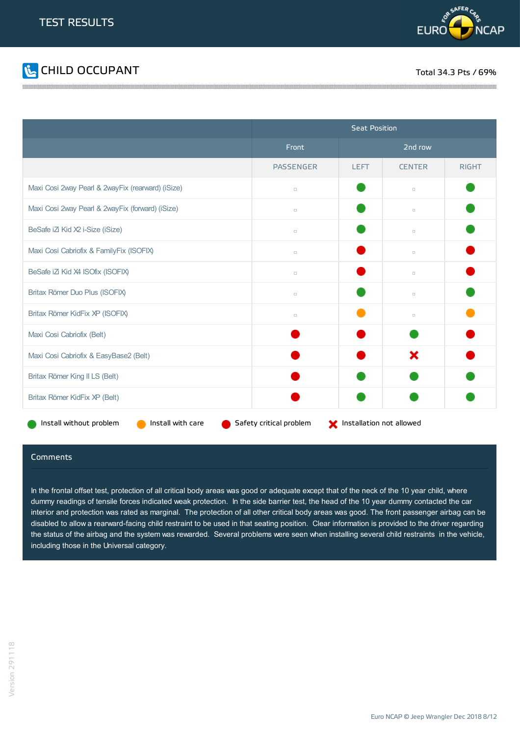



|                                                   | <b>Seat Position</b> |                                                     |               |              |  |  |  |
|---------------------------------------------------|----------------------|-----------------------------------------------------|---------------|--------------|--|--|--|
|                                                   | Front                | 2nd row                                             |               |              |  |  |  |
|                                                   | <b>PASSENGER</b>     | <b>LEFT</b>                                         | <b>CENTER</b> | <b>RIGHT</b> |  |  |  |
| Maxi Cosi 2way Pearl & 2wayFix (rearward) (iSize) | $\Box$               |                                                     | $\Box$        |              |  |  |  |
| Maxi Cosi 2way Pearl & 2wayFix (forward) (iSize)  | $\Box$               |                                                     | $\Box$        |              |  |  |  |
| BeSafe iZi Kid X2 i-Size (iSize)                  | $\Box$               |                                                     | $\Box$        |              |  |  |  |
| Maxi Cosi Cabriofix & FamilyFix (ISOFIX)          | $\Box$               |                                                     | $\Box$        |              |  |  |  |
| BeSafe iZi Kid X4 ISOfix (ISOFIX)                 | $\Box$               |                                                     | $\Box$        |              |  |  |  |
| Britax Römer Duo Plus (ISOFIX)                    | $\Box$               |                                                     | $\Box$        |              |  |  |  |
| Britax Römer KidFix XP (ISOFIX)                   | $\Box$               |                                                     | $\Box$        |              |  |  |  |
| Maxi Cosi Cabriofix (Belt)                        |                      |                                                     |               |              |  |  |  |
| Maxi Cosi Cabriofix & EasyBase2 (Belt)            |                      |                                                     | ×             |              |  |  |  |
| Britax Römer King II LS (Belt)                    |                      |                                                     |               |              |  |  |  |
| Britax Römer KidFix XP (Belt)                     |                      |                                                     |               |              |  |  |  |
| Install with care<br>Install without problem      |                      | Safety critical problem<br>Installation not allowed |               |              |  |  |  |

#### Comments

In the frontal offset test, protection of all critical body areas was good or adequate except that of the neck of the 10 year child, where dummy readings of tensile forces indicated weak protection. In the side barrier test, the head of the 10 year dummy contacted the car interior and protection was rated as marginal. The protection of all other critical body areas was good. The front passenger airbag can be disabled to allow a rearward-facing child restraint to be used in that seating position. Clear information is provided to the driver regarding the status of the airbag and the system was rewarded. Several problems were seen when installing several child restraints in the vehicle, including those in the Universal category.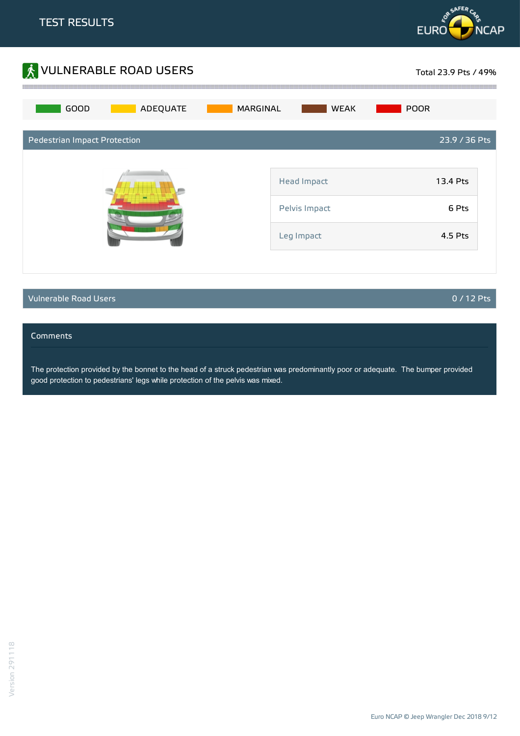



### Vulnerable Road Users 0 / 12 Pts

#### Comments

The protection provided by the bonnet to the head of a struck pedestrian was predominantly poor or adequate. The bumper provided good protection to pedestrians' legs while protection of the pelvis was mixed.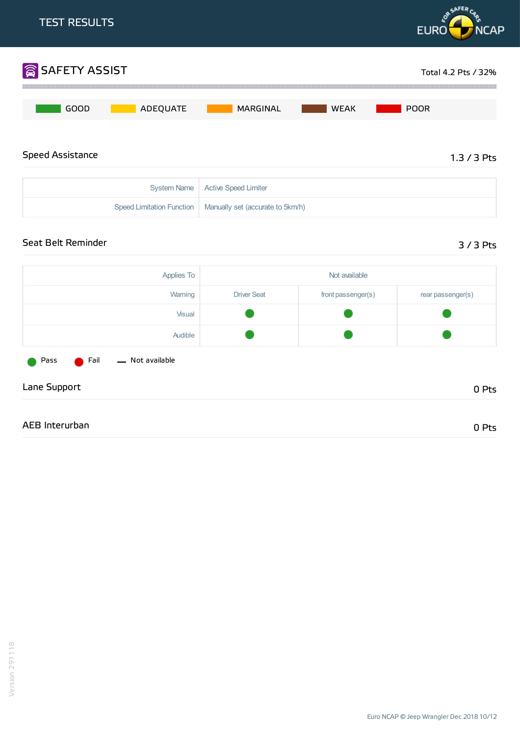

Euro NCAP ©Jeep Wrangler Dec 2018 10/12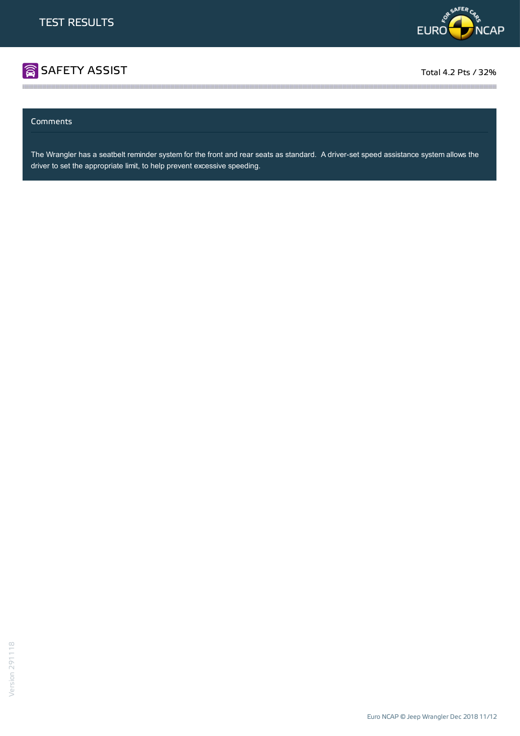

# SAFETY ASSIST TOTAL ASSIST Total 4.2 Pts / 32%

#### Comments

The Wrangler has a seatbelt reminder system for the front and rear seats as standard. A driver-set speed assistance system allows the driver to set the appropriate limit, to help prevent excessive speeding.